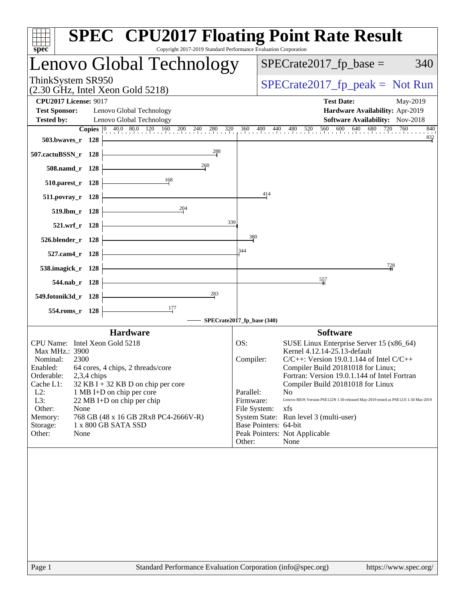| Lenovo Global Technology<br>$SPECrate2017_fp\_base =$<br>340<br>ThinkSystem SR950<br>$SPECrate2017_fp\_peak = Not Run$<br>$(2.30 \text{ GHz}, \text{Intel Xeon Gold } 5218)$<br><b>CPU2017 License: 9017</b><br><b>Test Date:</b><br>May-2019<br><b>Test Sponsor:</b><br>Lenovo Global Technology<br>Hardware Availability: Apr-2019<br>Software Availability: Nov-2018<br><b>Tested by:</b><br>Lenovo Global Technology<br><b>Copies</b> 0 40.0 80.0 120 160 200 240 280 320<br>560 600 640 680 720<br>760<br>360 400 440 480 520<br>840<br>$\frac{832}{1}$<br>503.bwayes_r 128<br>288<br>507.cactuBSSN_r 128<br>260<br>508.namd r 128<br>168<br>510.parest_r 128<br>414<br>$511. povray_r 128$<br>204<br>519.lbm_r 128<br>339<br>521.wrf_r 128<br>380<br>526.blender_r 128<br>344<br>527.cam4_r 128<br>728<br>538.imagick_r 128 |
|-----------------------------------------------------------------------------------------------------------------------------------------------------------------------------------------------------------------------------------------------------------------------------------------------------------------------------------------------------------------------------------------------------------------------------------------------------------------------------------------------------------------------------------------------------------------------------------------------------------------------------------------------------------------------------------------------------------------------------------------------------------------------------------------------------------------------------------|
|                                                                                                                                                                                                                                                                                                                                                                                                                                                                                                                                                                                                                                                                                                                                                                                                                                   |
|                                                                                                                                                                                                                                                                                                                                                                                                                                                                                                                                                                                                                                                                                                                                                                                                                                   |
|                                                                                                                                                                                                                                                                                                                                                                                                                                                                                                                                                                                                                                                                                                                                                                                                                                   |
|                                                                                                                                                                                                                                                                                                                                                                                                                                                                                                                                                                                                                                                                                                                                                                                                                                   |
|                                                                                                                                                                                                                                                                                                                                                                                                                                                                                                                                                                                                                                                                                                                                                                                                                                   |
|                                                                                                                                                                                                                                                                                                                                                                                                                                                                                                                                                                                                                                                                                                                                                                                                                                   |
|                                                                                                                                                                                                                                                                                                                                                                                                                                                                                                                                                                                                                                                                                                                                                                                                                                   |
|                                                                                                                                                                                                                                                                                                                                                                                                                                                                                                                                                                                                                                                                                                                                                                                                                                   |
|                                                                                                                                                                                                                                                                                                                                                                                                                                                                                                                                                                                                                                                                                                                                                                                                                                   |
|                                                                                                                                                                                                                                                                                                                                                                                                                                                                                                                                                                                                                                                                                                                                                                                                                                   |
|                                                                                                                                                                                                                                                                                                                                                                                                                                                                                                                                                                                                                                                                                                                                                                                                                                   |
|                                                                                                                                                                                                                                                                                                                                                                                                                                                                                                                                                                                                                                                                                                                                                                                                                                   |
|                                                                                                                                                                                                                                                                                                                                                                                                                                                                                                                                                                                                                                                                                                                                                                                                                                   |
|                                                                                                                                                                                                                                                                                                                                                                                                                                                                                                                                                                                                                                                                                                                                                                                                                                   |
|                                                                                                                                                                                                                                                                                                                                                                                                                                                                                                                                                                                                                                                                                                                                                                                                                                   |
|                                                                                                                                                                                                                                                                                                                                                                                                                                                                                                                                                                                                                                                                                                                                                                                                                                   |
| $\frac{557}{4}$<br>544.nab_r 128                                                                                                                                                                                                                                                                                                                                                                                                                                                                                                                                                                                                                                                                                                                                                                                                  |
| 283<br>549.fotonik3d_r 128                                                                                                                                                                                                                                                                                                                                                                                                                                                                                                                                                                                                                                                                                                                                                                                                        |
| 177                                                                                                                                                                                                                                                                                                                                                                                                                                                                                                                                                                                                                                                                                                                                                                                                                               |
| 554.roms_r 128<br>SPECrate2017_fp_base (340)                                                                                                                                                                                                                                                                                                                                                                                                                                                                                                                                                                                                                                                                                                                                                                                      |
|                                                                                                                                                                                                                                                                                                                                                                                                                                                                                                                                                                                                                                                                                                                                                                                                                                   |
| <b>Software</b><br><b>Hardware</b>                                                                                                                                                                                                                                                                                                                                                                                                                                                                                                                                                                                                                                                                                                                                                                                                |
| CPU Name: Intel Xeon Gold 5218<br>SUSE Linux Enterprise Server 15 (x86_64)<br>OS:                                                                                                                                                                                                                                                                                                                                                                                                                                                                                                                                                                                                                                                                                                                                                 |
| Kernel 4.12.14-25.13-default<br>Max MHz.: 3900<br>Nominal:<br>2300<br>$C/C++$ : Version 19.0.1.144 of Intel $C/C++$                                                                                                                                                                                                                                                                                                                                                                                                                                                                                                                                                                                                                                                                                                               |
| Compiler:<br>Compiler Build 20181018 for Linux;<br>Enabled:<br>64 cores, 4 chips, 2 threads/core                                                                                                                                                                                                                                                                                                                                                                                                                                                                                                                                                                                                                                                                                                                                  |
| Fortran: Version 19.0.1.144 of Intel Fortran<br>Orderable:<br>$2,3,4$ chips                                                                                                                                                                                                                                                                                                                                                                                                                                                                                                                                                                                                                                                                                                                                                       |
| Cache L1:<br>$32$ KB I + 32 KB D on chip per core<br>Compiler Build 20181018 for Linux                                                                                                                                                                                                                                                                                                                                                                                                                                                                                                                                                                                                                                                                                                                                            |
| $L2$ :<br>1 MB I+D on chip per core<br>Parallel:<br>No                                                                                                                                                                                                                                                                                                                                                                                                                                                                                                                                                                                                                                                                                                                                                                            |
| Lenovo BIOS Version PSE122N 1.50 released May-2019 tested as PSE121I 1.50 Mar-2019<br>L3:<br>22 MB I+D on chip per chip<br>Firmware:                                                                                                                                                                                                                                                                                                                                                                                                                                                                                                                                                                                                                                                                                              |
| Other:<br>None<br>File System:<br>xfs                                                                                                                                                                                                                                                                                                                                                                                                                                                                                                                                                                                                                                                                                                                                                                                             |
|                                                                                                                                                                                                                                                                                                                                                                                                                                                                                                                                                                                                                                                                                                                                                                                                                                   |
| Memory:<br>768 GB (48 x 16 GB 2Rx8 PC4-2666V-R)<br>System State: Run level 3 (multi-user)                                                                                                                                                                                                                                                                                                                                                                                                                                                                                                                                                                                                                                                                                                                                         |
| Base Pointers: 64-bit<br>1 x 800 GB SATA SSD<br>Storage:                                                                                                                                                                                                                                                                                                                                                                                                                                                                                                                                                                                                                                                                                                                                                                          |
| Other:<br>None<br>Peak Pointers: Not Applicable                                                                                                                                                                                                                                                                                                                                                                                                                                                                                                                                                                                                                                                                                                                                                                                   |
| Other:<br>None                                                                                                                                                                                                                                                                                                                                                                                                                                                                                                                                                                                                                                                                                                                                                                                                                    |
|                                                                                                                                                                                                                                                                                                                                                                                                                                                                                                                                                                                                                                                                                                                                                                                                                                   |
|                                                                                                                                                                                                                                                                                                                                                                                                                                                                                                                                                                                                                                                                                                                                                                                                                                   |
|                                                                                                                                                                                                                                                                                                                                                                                                                                                                                                                                                                                                                                                                                                                                                                                                                                   |
|                                                                                                                                                                                                                                                                                                                                                                                                                                                                                                                                                                                                                                                                                                                                                                                                                                   |
|                                                                                                                                                                                                                                                                                                                                                                                                                                                                                                                                                                                                                                                                                                                                                                                                                                   |
|                                                                                                                                                                                                                                                                                                                                                                                                                                                                                                                                                                                                                                                                                                                                                                                                                                   |
|                                                                                                                                                                                                                                                                                                                                                                                                                                                                                                                                                                                                                                                                                                                                                                                                                                   |
|                                                                                                                                                                                                                                                                                                                                                                                                                                                                                                                                                                                                                                                                                                                                                                                                                                   |
|                                                                                                                                                                                                                                                                                                                                                                                                                                                                                                                                                                                                                                                                                                                                                                                                                                   |
|                                                                                                                                                                                                                                                                                                                                                                                                                                                                                                                                                                                                                                                                                                                                                                                                                                   |
|                                                                                                                                                                                                                                                                                                                                                                                                                                                                                                                                                                                                                                                                                                                                                                                                                                   |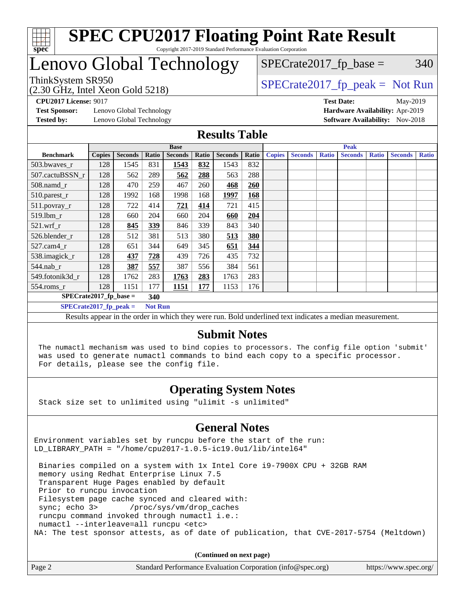

## Lenovo Global Technology

# $SPECTate2017<sub>fr</sub> base = 340$

(2.30 GHz, Intel Xeon Gold 5218)

 $SPECTate2017<sub>fr</sub> peak = Not Run$ 

**[Test Sponsor:](http://www.spec.org/auto/cpu2017/Docs/result-fields.html#TestSponsor)** Lenovo Global Technology **[Hardware Availability:](http://www.spec.org/auto/cpu2017/Docs/result-fields.html#HardwareAvailability)** Apr-2019 **[Tested by:](http://www.spec.org/auto/cpu2017/Docs/result-fields.html#Testedby)** Lenovo Global Technology **[Software Availability:](http://www.spec.org/auto/cpu2017/Docs/result-fields.html#SoftwareAvailability)** Nov-2018

**[CPU2017 License:](http://www.spec.org/auto/cpu2017/Docs/result-fields.html#CPU2017License)** 9017 **[Test Date:](http://www.spec.org/auto/cpu2017/Docs/result-fields.html#TestDate)** May-2019

#### **[Results Table](http://www.spec.org/auto/cpu2017/Docs/result-fields.html#ResultsTable)**

|                          |               |                |                | <b>Base</b>    |       |                |       |               | <b>Peak</b>    |              |                |              |                |              |
|--------------------------|---------------|----------------|----------------|----------------|-------|----------------|-------|---------------|----------------|--------------|----------------|--------------|----------------|--------------|
| <b>Benchmark</b>         | <b>Copies</b> | <b>Seconds</b> | Ratio          | <b>Seconds</b> | Ratio | <b>Seconds</b> | Ratio | <b>Copies</b> | <b>Seconds</b> | <b>Ratio</b> | <b>Seconds</b> | <b>Ratio</b> | <b>Seconds</b> | <b>Ratio</b> |
| $503.bwaves_r$           | 128           | 1545           | 831            | 1543           | 832   | 1543           | 832   |               |                |              |                |              |                |              |
| 507.cactuBSSN r          | 128           | 562            | 289            | 562            | 288   | 563            | 288   |               |                |              |                |              |                |              |
| $508$ .namd $_r$         | 128           | 470            | 259            | 467            | 260   | 468            | 260   |               |                |              |                |              |                |              |
| 510.parest_r             | 128           | 1992           | 168            | 1998           | 168   | 1997           | 168   |               |                |              |                |              |                |              |
| 511.povray_r             | 128           | 722            | 414            | 721            | 414   | 721            | 415   |               |                |              |                |              |                |              |
| 519.1bm r                | 128           | 660            | 204            | 660            | 204   | 660            | 204   |               |                |              |                |              |                |              |
| $521$ .wrf r             | 128           | 845            | 339            | 846            | 339   | 843            | 340   |               |                |              |                |              |                |              |
| 526.blender r            | 128           | 512            | 381            | 513            | 380   | 513            | 380   |               |                |              |                |              |                |              |
| $527$ .cam $4r$          | 128           | 651            | 344            | 649            | 345   | 651            | 344   |               |                |              |                |              |                |              |
| 538.imagick_r            | 128           | 437            | 728            | 439            | 726   | 435            | 732   |               |                |              |                |              |                |              |
| 544.nab_r                | 128           | 387            | 557            | 387            | 556   | 384            | 561   |               |                |              |                |              |                |              |
| 549.fotonik3d r          | 128           | 1762           | 283            | 1763           | 283   | 1763           | 283   |               |                |              |                |              |                |              |
| $554$ .roms $r$          | 128           | 1151           | 177            | 1151           | 177   | 1153           | 176   |               |                |              |                |              |                |              |
| $SPECrate2017$ fp base = |               |                | 340            |                |       |                |       |               |                |              |                |              |                |              |
| $SPECrate2017$ fp peak = |               |                | <b>Not Run</b> |                |       |                |       |               |                |              |                |              |                |              |

Results appear in the [order in which they were run](http://www.spec.org/auto/cpu2017/Docs/result-fields.html#RunOrder). Bold underlined text [indicates a median measurement](http://www.spec.org/auto/cpu2017/Docs/result-fields.html#Median).

#### **[Submit Notes](http://www.spec.org/auto/cpu2017/Docs/result-fields.html#SubmitNotes)**

 The numactl mechanism was used to bind copies to processors. The config file option 'submit' was used to generate numactl commands to bind each copy to a specific processor. For details, please see the config file.

### **[Operating System Notes](http://www.spec.org/auto/cpu2017/Docs/result-fields.html#OperatingSystemNotes)**

Stack size set to unlimited using "ulimit -s unlimited"

#### **[General Notes](http://www.spec.org/auto/cpu2017/Docs/result-fields.html#GeneralNotes)**

Environment variables set by runcpu before the start of the run: LD LIBRARY PATH = "/home/cpu2017-1.0.5-ic19.0u1/lib/intel64"

 Binaries compiled on a system with 1x Intel Core i9-7900X CPU + 32GB RAM memory using Redhat Enterprise Linux 7.5 Transparent Huge Pages enabled by default Prior to runcpu invocation Filesystem page cache synced and cleared with: sync; echo 3> /proc/sys/vm/drop\_caches runcpu command invoked through numactl i.e.: numactl --interleave=all runcpu <etc> NA: The test sponsor attests, as of date of publication, that CVE-2017-5754 (Meltdown)

**(Continued on next page)**

| Page 2 | Standard Performance Evaluation Corporation (info@spec.org) | https://www.spec.org/ |
|--------|-------------------------------------------------------------|-----------------------|
|        |                                                             |                       |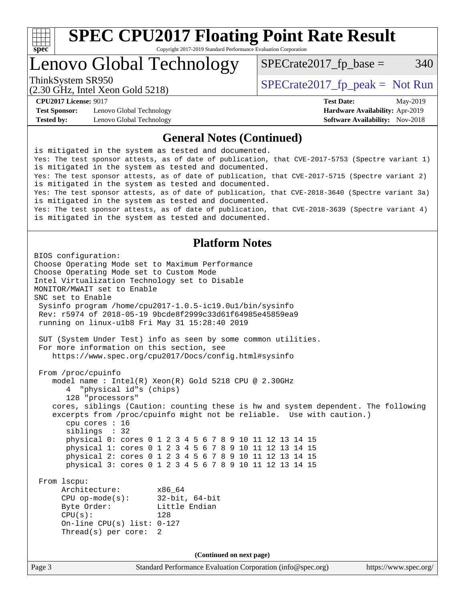

Lenovo Global Technology

 $SPECTate2017<sub>fr</sub> base = 340$ 

(2.30 GHz, Intel Xeon Gold 5218)

ThinkSystem SR950<br>  $SPECTI<sub>5</sub>18$  [SPECrate2017\\_fp\\_peak =](http://www.spec.org/auto/cpu2017/Docs/result-fields.html#SPECrate2017fppeak) Not Run

**[Test Sponsor:](http://www.spec.org/auto/cpu2017/Docs/result-fields.html#TestSponsor)** Lenovo Global Technology **[Hardware Availability:](http://www.spec.org/auto/cpu2017/Docs/result-fields.html#HardwareAvailability)** Apr-2019 **[Tested by:](http://www.spec.org/auto/cpu2017/Docs/result-fields.html#Testedby)** Lenovo Global Technology **[Software Availability:](http://www.spec.org/auto/cpu2017/Docs/result-fields.html#SoftwareAvailability)** Nov-2018

**[CPU2017 License:](http://www.spec.org/auto/cpu2017/Docs/result-fields.html#CPU2017License)** 9017 **[Test Date:](http://www.spec.org/auto/cpu2017/Docs/result-fields.html#TestDate)** May-2019

#### **[General Notes \(Continued\)](http://www.spec.org/auto/cpu2017/Docs/result-fields.html#GeneralNotes)**

is mitigated in the system as tested and documented. Yes: The test sponsor attests, as of date of publication, that CVE-2017-5753 (Spectre variant 1) is mitigated in the system as tested and documented. Yes: The test sponsor attests, as of date of publication, that CVE-2017-5715 (Spectre variant 2) is mitigated in the system as tested and documented. Yes: The test sponsor attests, as of date of publication, that CVE-2018-3640 (Spectre variant 3a) is mitigated in the system as tested and documented. Yes: The test sponsor attests, as of date of publication, that CVE-2018-3639 (Spectre variant 4) is mitigated in the system as tested and documented.

#### **[Platform Notes](http://www.spec.org/auto/cpu2017/Docs/result-fields.html#PlatformNotes)**

```
Page 3 Standard Performance Evaluation Corporation (info@spec.org) https://www.spec.org/
BIOS configuration:
Choose Operating Mode set to Maximum Performance
Choose Operating Mode set to Custom Mode
Intel Virtualization Technology set to Disable
MONITOR/MWAIT set to Enable
SNC set to Enable
  Sysinfo program /home/cpu2017-1.0.5-ic19.0u1/bin/sysinfo
  Rev: r5974 of 2018-05-19 9bcde8f2999c33d61f64985e45859ea9
  running on linux-u1b8 Fri May 31 15:28:40 2019
  SUT (System Under Test) info as seen by some common utilities.
  For more information on this section, see
     https://www.spec.org/cpu2017/Docs/config.html#sysinfo
  From /proc/cpuinfo
     model name : Intel(R) Xeon(R) Gold 5218 CPU @ 2.30GHz
        4 "physical id"s (chips)
        128 "processors"
     cores, siblings (Caution: counting these is hw and system dependent. The following
     excerpts from /proc/cpuinfo might not be reliable. Use with caution.)
        cpu cores : 16
        siblings : 32
        physical 0: cores 0 1 2 3 4 5 6 7 8 9 10 11 12 13 14 15
        physical 1: cores 0 1 2 3 4 5 6 7 8 9 10 11 12 13 14 15
        physical 2: cores 0 1 2 3 4 5 6 7 8 9 10 11 12 13 14 15
        physical 3: cores 0 1 2 3 4 5 6 7 8 9 10 11 12 13 14 15
  From lscpu:
       Architecture: x86_64
       CPU op-mode(s): 32-bit, 64-bit
       Byte Order: Little Endian
      CPU(s): 128
       On-line CPU(s) list: 0-127
       Thread(s) per core: 2
                                    (Continued on next page)
```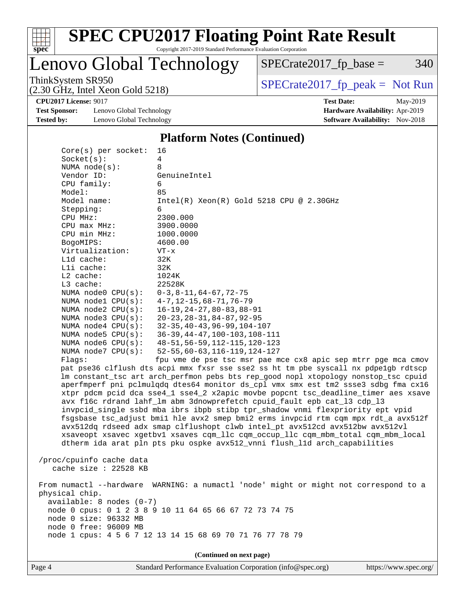

Lenovo Global Technology

ThinkSystem SR950<br>  $(2,30 \text{ GHz})$  Intel Xeon Gold 5218)  $SPECrate2017_fp\_base = 340$ 

(2.30 GHz, Intel Xeon Gold 5218)

**[CPU2017 License:](http://www.spec.org/auto/cpu2017/Docs/result-fields.html#CPU2017License)** 9017 **[Test Date:](http://www.spec.org/auto/cpu2017/Docs/result-fields.html#TestDate)** May-2019

**[Test Sponsor:](http://www.spec.org/auto/cpu2017/Docs/result-fields.html#TestSponsor)** Lenovo Global Technology **[Hardware Availability:](http://www.spec.org/auto/cpu2017/Docs/result-fields.html#HardwareAvailability)** Apr-2019 **[Tested by:](http://www.spec.org/auto/cpu2017/Docs/result-fields.html#Testedby)** Lenovo Global Technology **[Software Availability:](http://www.spec.org/auto/cpu2017/Docs/result-fields.html#SoftwareAvailability)** Nov-2018

#### **[Platform Notes \(Continued\)](http://www.spec.org/auto/cpu2017/Docs/result-fields.html#PlatformNotes)**

| $Core(s)$ per socket:      | 16                                                                                  |  |  |  |  |  |
|----------------------------|-------------------------------------------------------------------------------------|--|--|--|--|--|
| Socket(s):                 | 4                                                                                   |  |  |  |  |  |
| NUMA $node(s):$            | 8                                                                                   |  |  |  |  |  |
| Vendor ID:                 | GenuineIntel                                                                        |  |  |  |  |  |
| CPU family:                | 6                                                                                   |  |  |  |  |  |
| Model:                     | 85                                                                                  |  |  |  |  |  |
| Model name:                | $Intel(R) Xeon(R) Gold 5218 CPU @ 2.30GHz$                                          |  |  |  |  |  |
| Stepping:                  | 6                                                                                   |  |  |  |  |  |
| CPU MHz:                   | 2300.000                                                                            |  |  |  |  |  |
| $CPU$ max $MHz$ :          | 3900.0000                                                                           |  |  |  |  |  |
| CPU min MHz:               | 1000.0000                                                                           |  |  |  |  |  |
| BogoMIPS:                  | 4600.00                                                                             |  |  |  |  |  |
| Virtualization:            | $VT - x$                                                                            |  |  |  |  |  |
| L1d cache:                 | 32K                                                                                 |  |  |  |  |  |
| Lli cache:                 | 32K                                                                                 |  |  |  |  |  |
| $L2$ cache:                | 1024K                                                                               |  |  |  |  |  |
| $L3$ cache:<br>22528K      |                                                                                     |  |  |  |  |  |
|                            | NUMA $node0$ $CPU(s):$<br>$0-3, 8-11, 64-67, 72-75$                                 |  |  |  |  |  |
| NUMA nodel CPU(s):         | $4 - 7$ , 12-15, 68-71, 76-79                                                       |  |  |  |  |  |
| NUMA $node2$ $CPU(s)$ :    | $16 - 19, 24 - 27, 80 - 83, 88 - 91$                                                |  |  |  |  |  |
| NUMA $node3$ CPU $(s)$ :   | $20 - 23, 28 - 31, 84 - 87, 92 - 95$                                                |  |  |  |  |  |
| NUMA node4 CPU(s):         | $32 - 35, 40 - 43, 96 - 99, 104 - 107$                                              |  |  |  |  |  |
| NUMA node5 $CPU(s):$       | $36-39, 44-47, 100-103, 108-111$                                                    |  |  |  |  |  |
| NUMA node6 $CPU(s):$       | 48-51, 56-59, 112-115, 120-123                                                      |  |  |  |  |  |
| NUMA node7 CPU(s):         | $52 - 55, 60 - 63, 116 - 119, 124 - 127$                                            |  |  |  |  |  |
| Flaqs:                     | fpu vme de pse tsc msr pae mce cx8 apic sep mtrr pge mca cmov                       |  |  |  |  |  |
|                            | pat pse36 clflush dts acpi mmx fxsr sse sse2 ss ht tm pbe syscall nx pdpelgb rdtscp |  |  |  |  |  |
|                            | lm constant_tsc art arch_perfmon pebs bts rep_good nopl xtopology nonstop_tsc cpuid |  |  |  |  |  |
|                            | aperfmperf pni pclmulqdq dtes64 monitor ds_cpl vmx smx est tm2 ssse3 sdbg fma cx16  |  |  |  |  |  |
|                            | xtpr pdcm pcid dca sse4_1 sse4_2 x2apic movbe popcnt tsc_deadline_timer aes xsave   |  |  |  |  |  |
|                            | avx f16c rdrand lahf_lm abm 3dnowprefetch cpuid_fault epb cat_13 cdp_13             |  |  |  |  |  |
|                            | invpcid_single ssbd mba ibrs ibpb stibp tpr_shadow vnmi flexpriority ept vpid       |  |  |  |  |  |
|                            | fsgsbase tsc_adjust bmil hle avx2 smep bmi2 erms invpcid rtm cqm mpx rdt_a avx512f  |  |  |  |  |  |
|                            | avx512dq rdseed adx smap clflushopt clwb intel_pt avx512cd avx512bw avx512vl        |  |  |  |  |  |
|                            | xsaveopt xsavec xgetbvl xsaves cqm_llc cqm_occup_llc cqm_mbm_total cqm_mbm_local    |  |  |  |  |  |
|                            | dtherm ida arat pln pts pku ospke avx512_vnni flush_lld arch_capabilities           |  |  |  |  |  |
|                            |                                                                                     |  |  |  |  |  |
| /proc/cpuinfo cache data   |                                                                                     |  |  |  |  |  |
| cache size : 22528 KB      |                                                                                     |  |  |  |  |  |
|                            |                                                                                     |  |  |  |  |  |
| From numactl --hardware    | WARNING: a numactl 'node' might or might not correspond to a                        |  |  |  |  |  |
| physical chip.             |                                                                                     |  |  |  |  |  |
| $available: 8 nodes (0-7)$ |                                                                                     |  |  |  |  |  |
|                            | node 0 cpus: 0 1 2 3 8 9 10 11 64 65 66 67 72 73 74 75                              |  |  |  |  |  |
| node 0 size: 96332 MB      |                                                                                     |  |  |  |  |  |
| node 0 free: 96009 MB      |                                                                                     |  |  |  |  |  |
|                            | node 1 cpus: 4 5 6 7 12 13 14 15 68 69 70 71 76 77 78 79                            |  |  |  |  |  |
|                            |                                                                                     |  |  |  |  |  |
|                            | (Continued on next page)                                                            |  |  |  |  |  |
|                            |                                                                                     |  |  |  |  |  |

Page 4 Standard Performance Evaluation Corporation [\(info@spec.org\)](mailto:info@spec.org) <https://www.spec.org/>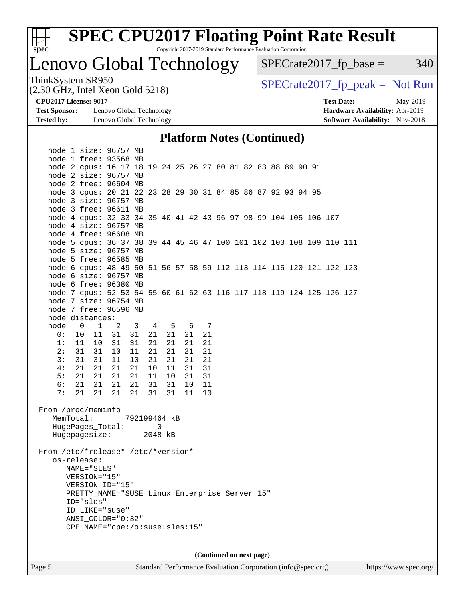

# **[SPEC CPU2017 Floating Point Rate Result](http://www.spec.org/auto/cpu2017/Docs/result-fields.html#SPECCPU2017FloatingPointRateResult)**

Copyright 2017-2019 Standard Performance Evaluation Corporation

### Lenovo Global Technology

 $SPECrate2017_fp\_base = 340$ 

(2.30 GHz, Intel Xeon Gold 5218)

ThinkSystem SR950<br>  $(2,30 \text{ GHz})$  Intel Xeon Gold 5218)

**[Test Sponsor:](http://www.spec.org/auto/cpu2017/Docs/result-fields.html#TestSponsor)** Lenovo Global Technology **[Hardware Availability:](http://www.spec.org/auto/cpu2017/Docs/result-fields.html#HardwareAvailability)** Apr-2019 **[Tested by:](http://www.spec.org/auto/cpu2017/Docs/result-fields.html#Testedby)** Lenovo Global Technology **[Software Availability:](http://www.spec.org/auto/cpu2017/Docs/result-fields.html#SoftwareAvailability)** Nov-2018

**[CPU2017 License:](http://www.spec.org/auto/cpu2017/Docs/result-fields.html#CPU2017License)** 9017 **[Test Date:](http://www.spec.org/auto/cpu2017/Docs/result-fields.html#TestDate)** May-2019

#### **[Platform Notes \(Continued\)](http://www.spec.org/auto/cpu2017/Docs/result-fields.html#PlatformNotes)**

| node 1 size: 96757 MB                                                  |  |  |  |  |  |
|------------------------------------------------------------------------|--|--|--|--|--|
| node 1 free: 93568 MB                                                  |  |  |  |  |  |
| node 2 cpus: 16 17 18 19 24 25 26 27 80 81 82 83 88 89 90 91           |  |  |  |  |  |
| node 2 size: 96757 MB                                                  |  |  |  |  |  |
| node 2 free: 96604 MB                                                  |  |  |  |  |  |
| node 3 cpus: 20 21 22 23 28 29 30 31 84 85 86 87 92 93 94 95           |  |  |  |  |  |
| node 3 size: 96757 MB                                                  |  |  |  |  |  |
| node 3 free: 96611 MB                                                  |  |  |  |  |  |
| node 4 cpus: 32 33 34 35 40 41 42 43 96 97 98 99 104 105 106 107       |  |  |  |  |  |
| node 4 size: 96757 MB                                                  |  |  |  |  |  |
| node 4 free: 96608 MB                                                  |  |  |  |  |  |
| node 5 cpus: 36 37 38 39 44 45 46 47 100 101 102 103 108 109 110 111   |  |  |  |  |  |
| node 5 size: 96757 MB                                                  |  |  |  |  |  |
| node 5 free: 96585 MB                                                  |  |  |  |  |  |
| node 6 cpus: 48 49 50 51 56 57 58 59 112 113 114 115 120 121 122 123   |  |  |  |  |  |
| node 6 size: 96757 MB                                                  |  |  |  |  |  |
| node 6 free: 96380 MB                                                  |  |  |  |  |  |
| node 7 cpus: 52 53 54 55 60 61 62 63 116 117 118 119 124 125 126 127   |  |  |  |  |  |
| node 7 size: 96754 MB                                                  |  |  |  |  |  |
| node 7 free: 96596 MB                                                  |  |  |  |  |  |
| node distances:                                                        |  |  |  |  |  |
| node<br>4 5 6 7<br>$\overline{0}$<br>$\mathbf{1}$<br>2<br>$\mathbf{3}$ |  |  |  |  |  |
| 0:<br>21<br>10<br>31<br>31<br>21<br>21<br>21<br>11                     |  |  |  |  |  |
| 11<br>21<br>21<br>21<br>21<br>1:<br>10<br>31<br>31                     |  |  |  |  |  |
| 2:<br>31<br>31<br>21<br>21<br>21<br>10<br>11<br>21                     |  |  |  |  |  |
| 31<br>31<br>3:<br>11<br>10<br>21<br>21<br>21<br>21                     |  |  |  |  |  |
| 21<br>21<br>21<br>21<br>31<br>31<br>4 :<br>10<br>11                    |  |  |  |  |  |
| 5:<br>21<br>31<br>21<br>21<br>21<br>11<br>10<br>31                     |  |  |  |  |  |
| 6:<br>21<br>31<br>10<br>21<br>21<br>21<br>31<br>11<br>7:<br>21         |  |  |  |  |  |
| 21<br>21<br>21<br>31<br>31<br>11<br>10                                 |  |  |  |  |  |
| From /proc/meminfo                                                     |  |  |  |  |  |
| MemTotal:<br>792199464 kB                                              |  |  |  |  |  |
| HugePages_Total:<br>0                                                  |  |  |  |  |  |
| Hugepagesize: 2048 kB                                                  |  |  |  |  |  |
|                                                                        |  |  |  |  |  |
| From /etc/*release* /etc/*version*                                     |  |  |  |  |  |
| os-release:                                                            |  |  |  |  |  |
| NAME="SLES"                                                            |  |  |  |  |  |
| VERSION="15"                                                           |  |  |  |  |  |
| VERSION ID="15"                                                        |  |  |  |  |  |
| PRETTY_NAME="SUSE Linux Enterprise Server 15"                          |  |  |  |  |  |
| ID="sles"                                                              |  |  |  |  |  |
| ID LIKE="suse"                                                         |  |  |  |  |  |
| $ANSI$ _COLOR=" $0:32$ "                                               |  |  |  |  |  |
| CPE_NAME="cpe:/o:suse:sles:15"                                         |  |  |  |  |  |
|                                                                        |  |  |  |  |  |
|                                                                        |  |  |  |  |  |
| (Continued on next page)                                               |  |  |  |  |  |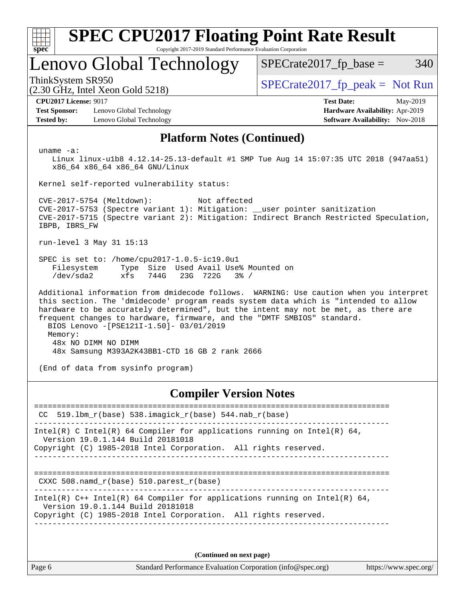| <b>SPEC CPU2017 Floating Point Rate Result</b><br>Copyright 2017-2019 Standard Performance Evaluation Corporation<br>$spec^*$                                                                                                                                                                                                                                                                        |                                 |  |  |  |  |
|------------------------------------------------------------------------------------------------------------------------------------------------------------------------------------------------------------------------------------------------------------------------------------------------------------------------------------------------------------------------------------------------------|---------------------------------|--|--|--|--|
| Lenovo Global Technology                                                                                                                                                                                                                                                                                                                                                                             | $SPECrate2017$ fp base =<br>340 |  |  |  |  |
| ThinkSystem SR950<br>$(2.30 \text{ GHz}, \text{Intel Xeon Gold } 5218)$                                                                                                                                                                                                                                                                                                                              | $SPECrate2017fr peak = Not Run$ |  |  |  |  |
| <b>CPU2017 License: 9017</b><br><b>Test Date:</b><br>May-2019<br><b>Test Sponsor:</b><br>Lenovo Global Technology<br>Hardware Availability: Apr-2019<br>Software Availability: Nov-2018<br><b>Tested by:</b><br>Lenovo Global Technology                                                                                                                                                             |                                 |  |  |  |  |
| <b>Platform Notes (Continued)</b>                                                                                                                                                                                                                                                                                                                                                                    |                                 |  |  |  |  |
| uname $-a$ :<br>Linux linux-ulb8 4.12.14-25.13-default #1 SMP Tue Aug 14 15:07:35 UTC 2018 (947aa51)<br>x86 64 x86 64 x86 64 GNU/Linux                                                                                                                                                                                                                                                               |                                 |  |  |  |  |
| Kernel self-reported vulnerability status:<br>CVE-2017-5754 (Meltdown):<br>Not affected                                                                                                                                                                                                                                                                                                              |                                 |  |  |  |  |
| CVE-2017-5753 (Spectre variant 1): Mitigation: __user pointer sanitization<br>CVE-2017-5715 (Spectre variant 2): Mitigation: Indirect Branch Restricted Speculation,<br>IBPB, IBRS FW                                                                                                                                                                                                                |                                 |  |  |  |  |
| run-level 3 May 31 15:13                                                                                                                                                                                                                                                                                                                                                                             |                                 |  |  |  |  |
| SPEC is set to: /home/cpu2017-1.0.5-ic19.0u1<br>Filesystem<br>Type Size Used Avail Use% Mounted on<br>/dev/sda2<br>xfs<br>744G<br>23G 722G<br>$3\frac{6}{9}$ /                                                                                                                                                                                                                                       |                                 |  |  |  |  |
| Additional information from dmidecode follows. WARNING: Use caution when you interpret<br>this section. The 'dmidecode' program reads system data which is "intended to allow<br>hardware to be accurately determined", but the intent may not be met, as there are<br>frequent changes to hardware, firmware, and the "DMTF SMBIOS" standard.<br>BIOS Lenovo -[PSE121I-1.50]- 03/01/2019<br>Memory: |                                 |  |  |  |  |
| 48x NO DIMM NO DIMM<br>48x Samsung M393A2K43BB1-CTD 16 GB 2 rank 2666                                                                                                                                                                                                                                                                                                                                |                                 |  |  |  |  |
| (End of data from sysinfo program)                                                                                                                                                                                                                                                                                                                                                                   |                                 |  |  |  |  |
| <b>Compiler Version Notes</b>                                                                                                                                                                                                                                                                                                                                                                        |                                 |  |  |  |  |
| $519.1$ bm_r(base) $538.imagick_r(base)$ $544.nab_r(base)$<br>CC                                                                                                                                                                                                                                                                                                                                     | ======================          |  |  |  |  |
| Intel(R) C Intel(R) 64 Compiler for applications running on Intel(R) 64,                                                                                                                                                                                                                                                                                                                             |                                 |  |  |  |  |

Version 19.0.1.144 Build 20181018

Copyright (C) 1985-2018 Intel Corporation. All rights reserved. ------------------------------------------------------------------------------

==============================================================================

CXXC 508.namd\_r(base) 510.parest\_r(base)

------------------------------------------------------------------------------ Intel(R) C++ Intel(R) 64 Compiler for applications running on Intel(R)  $64$ , Version 19.0.1.144 Build 20181018 Copyright (C) 1985-2018 Intel Corporation. All rights reserved.

------------------------------------------------------------------------------

**(Continued on next page)**

Page 6 Standard Performance Evaluation Corporation [\(info@spec.org\)](mailto:info@spec.org) <https://www.spec.org/>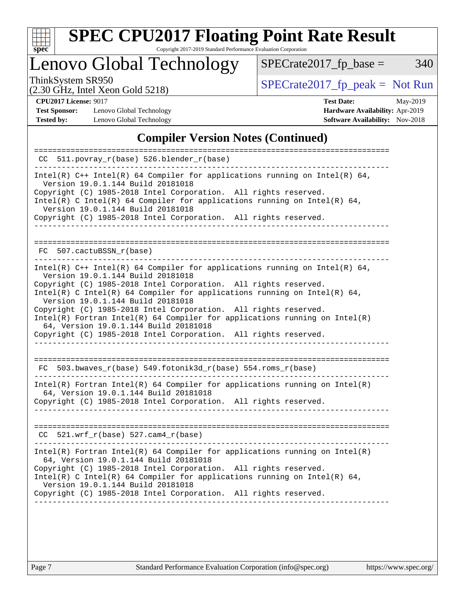

# **[SPEC CPU2017 Floating Point Rate Result](http://www.spec.org/auto/cpu2017/Docs/result-fields.html#SPECCPU2017FloatingPointRateResult)**

Copyright 2017-2019 Standard Performance Evaluation Corporation

Lenovo Global Technology

ThinkSystem SR950<br>  $(2, 30 \text{ GHz, Intel Yoon Gold 5218})$  [SPECrate2017\\_fp\\_peak =](http://www.spec.org/auto/cpu2017/Docs/result-fields.html#SPECrate2017fppeak) Not Run

 $SPECrate2017_fp\_base = 340$ 

(2.30 GHz, Intel Xeon Gold 5218)

**[Test Sponsor:](http://www.spec.org/auto/cpu2017/Docs/result-fields.html#TestSponsor)** Lenovo Global Technology **[Hardware Availability:](http://www.spec.org/auto/cpu2017/Docs/result-fields.html#HardwareAvailability)** Apr-2019 **[Tested by:](http://www.spec.org/auto/cpu2017/Docs/result-fields.html#Testedby)** Lenovo Global Technology **[Software Availability:](http://www.spec.org/auto/cpu2017/Docs/result-fields.html#SoftwareAvailability)** Nov-2018

**[CPU2017 License:](http://www.spec.org/auto/cpu2017/Docs/result-fields.html#CPU2017License)** 9017 **[Test Date:](http://www.spec.org/auto/cpu2017/Docs/result-fields.html#TestDate)** May-2019

### **[Compiler Version Notes \(Continued\)](http://www.spec.org/auto/cpu2017/Docs/result-fields.html#CompilerVersionNotes)**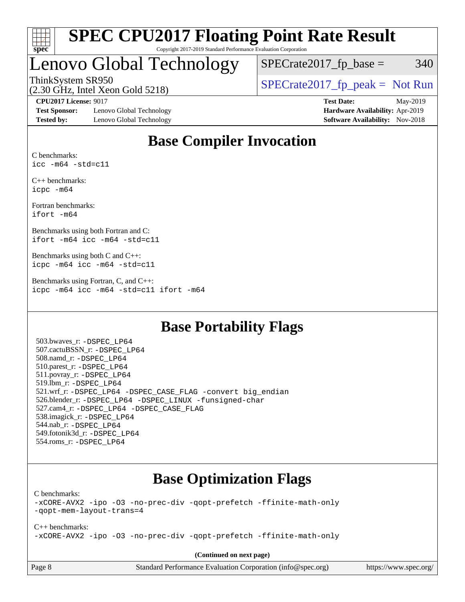

### Lenovo Global Technology

 $SPECTate2017$ \_fp\_base = 340

(2.30 GHz, Intel Xeon Gold 5218)

ThinkSystem SR950<br>  $SPECTI<sub>5</sub>18$  [SPECrate2017\\_fp\\_peak =](http://www.spec.org/auto/cpu2017/Docs/result-fields.html#SPECrate2017fppeak) Not Run

**[Test Sponsor:](http://www.spec.org/auto/cpu2017/Docs/result-fields.html#TestSponsor)** Lenovo Global Technology **[Hardware Availability:](http://www.spec.org/auto/cpu2017/Docs/result-fields.html#HardwareAvailability)** Apr-2019 **[Tested by:](http://www.spec.org/auto/cpu2017/Docs/result-fields.html#Testedby)** Lenovo Global Technology **[Software Availability:](http://www.spec.org/auto/cpu2017/Docs/result-fields.html#SoftwareAvailability)** Nov-2018

**[CPU2017 License:](http://www.spec.org/auto/cpu2017/Docs/result-fields.html#CPU2017License)** 9017 **[Test Date:](http://www.spec.org/auto/cpu2017/Docs/result-fields.html#TestDate)** May-2019

### **[Base Compiler Invocation](http://www.spec.org/auto/cpu2017/Docs/result-fields.html#BaseCompilerInvocation)**

[C benchmarks:](http://www.spec.org/auto/cpu2017/Docs/result-fields.html#Cbenchmarks) [icc -m64 -std=c11](http://www.spec.org/cpu2017/results/res2019q3/cpu2017-20190805-16665.flags.html#user_CCbase_intel_icc_64bit_c11_33ee0cdaae7deeeab2a9725423ba97205ce30f63b9926c2519791662299b76a0318f32ddfffdc46587804de3178b4f9328c46fa7c2b0cd779d7a61945c91cd35)

[C++ benchmarks:](http://www.spec.org/auto/cpu2017/Docs/result-fields.html#CXXbenchmarks) [icpc -m64](http://www.spec.org/cpu2017/results/res2019q3/cpu2017-20190805-16665.flags.html#user_CXXbase_intel_icpc_64bit_4ecb2543ae3f1412ef961e0650ca070fec7b7afdcd6ed48761b84423119d1bf6bdf5cad15b44d48e7256388bc77273b966e5eb805aefd121eb22e9299b2ec9d9)

[Fortran benchmarks](http://www.spec.org/auto/cpu2017/Docs/result-fields.html#Fortranbenchmarks): [ifort -m64](http://www.spec.org/cpu2017/results/res2019q3/cpu2017-20190805-16665.flags.html#user_FCbase_intel_ifort_64bit_24f2bb282fbaeffd6157abe4f878425411749daecae9a33200eee2bee2fe76f3b89351d69a8130dd5949958ce389cf37ff59a95e7a40d588e8d3a57e0c3fd751)

[Benchmarks using both Fortran and C:](http://www.spec.org/auto/cpu2017/Docs/result-fields.html#BenchmarksusingbothFortranandC) [ifort -m64](http://www.spec.org/cpu2017/results/res2019q3/cpu2017-20190805-16665.flags.html#user_CC_FCbase_intel_ifort_64bit_24f2bb282fbaeffd6157abe4f878425411749daecae9a33200eee2bee2fe76f3b89351d69a8130dd5949958ce389cf37ff59a95e7a40d588e8d3a57e0c3fd751) [icc -m64 -std=c11](http://www.spec.org/cpu2017/results/res2019q3/cpu2017-20190805-16665.flags.html#user_CC_FCbase_intel_icc_64bit_c11_33ee0cdaae7deeeab2a9725423ba97205ce30f63b9926c2519791662299b76a0318f32ddfffdc46587804de3178b4f9328c46fa7c2b0cd779d7a61945c91cd35)

[Benchmarks using both C and C++](http://www.spec.org/auto/cpu2017/Docs/result-fields.html#BenchmarksusingbothCandCXX): [icpc -m64](http://www.spec.org/cpu2017/results/res2019q3/cpu2017-20190805-16665.flags.html#user_CC_CXXbase_intel_icpc_64bit_4ecb2543ae3f1412ef961e0650ca070fec7b7afdcd6ed48761b84423119d1bf6bdf5cad15b44d48e7256388bc77273b966e5eb805aefd121eb22e9299b2ec9d9) [icc -m64 -std=c11](http://www.spec.org/cpu2017/results/res2019q3/cpu2017-20190805-16665.flags.html#user_CC_CXXbase_intel_icc_64bit_c11_33ee0cdaae7deeeab2a9725423ba97205ce30f63b9926c2519791662299b76a0318f32ddfffdc46587804de3178b4f9328c46fa7c2b0cd779d7a61945c91cd35)

[Benchmarks using Fortran, C, and C++:](http://www.spec.org/auto/cpu2017/Docs/result-fields.html#BenchmarksusingFortranCandCXX) [icpc -m64](http://www.spec.org/cpu2017/results/res2019q3/cpu2017-20190805-16665.flags.html#user_CC_CXX_FCbase_intel_icpc_64bit_4ecb2543ae3f1412ef961e0650ca070fec7b7afdcd6ed48761b84423119d1bf6bdf5cad15b44d48e7256388bc77273b966e5eb805aefd121eb22e9299b2ec9d9) [icc -m64 -std=c11](http://www.spec.org/cpu2017/results/res2019q3/cpu2017-20190805-16665.flags.html#user_CC_CXX_FCbase_intel_icc_64bit_c11_33ee0cdaae7deeeab2a9725423ba97205ce30f63b9926c2519791662299b76a0318f32ddfffdc46587804de3178b4f9328c46fa7c2b0cd779d7a61945c91cd35) [ifort -m64](http://www.spec.org/cpu2017/results/res2019q3/cpu2017-20190805-16665.flags.html#user_CC_CXX_FCbase_intel_ifort_64bit_24f2bb282fbaeffd6157abe4f878425411749daecae9a33200eee2bee2fe76f3b89351d69a8130dd5949958ce389cf37ff59a95e7a40d588e8d3a57e0c3fd751)

### **[Base Portability Flags](http://www.spec.org/auto/cpu2017/Docs/result-fields.html#BasePortabilityFlags)**

 503.bwaves\_r: [-DSPEC\\_LP64](http://www.spec.org/cpu2017/results/res2019q3/cpu2017-20190805-16665.flags.html#suite_basePORTABILITY503_bwaves_r_DSPEC_LP64) 507.cactuBSSN\_r: [-DSPEC\\_LP64](http://www.spec.org/cpu2017/results/res2019q3/cpu2017-20190805-16665.flags.html#suite_basePORTABILITY507_cactuBSSN_r_DSPEC_LP64) 508.namd\_r: [-DSPEC\\_LP64](http://www.spec.org/cpu2017/results/res2019q3/cpu2017-20190805-16665.flags.html#suite_basePORTABILITY508_namd_r_DSPEC_LP64) 510.parest\_r: [-DSPEC\\_LP64](http://www.spec.org/cpu2017/results/res2019q3/cpu2017-20190805-16665.flags.html#suite_basePORTABILITY510_parest_r_DSPEC_LP64) 511.povray\_r: [-DSPEC\\_LP64](http://www.spec.org/cpu2017/results/res2019q3/cpu2017-20190805-16665.flags.html#suite_basePORTABILITY511_povray_r_DSPEC_LP64) 519.lbm\_r: [-DSPEC\\_LP64](http://www.spec.org/cpu2017/results/res2019q3/cpu2017-20190805-16665.flags.html#suite_basePORTABILITY519_lbm_r_DSPEC_LP64) 521.wrf\_r: [-DSPEC\\_LP64](http://www.spec.org/cpu2017/results/res2019q3/cpu2017-20190805-16665.flags.html#suite_basePORTABILITY521_wrf_r_DSPEC_LP64) [-DSPEC\\_CASE\\_FLAG](http://www.spec.org/cpu2017/results/res2019q3/cpu2017-20190805-16665.flags.html#b521.wrf_r_baseCPORTABILITY_DSPEC_CASE_FLAG) [-convert big\\_endian](http://www.spec.org/cpu2017/results/res2019q3/cpu2017-20190805-16665.flags.html#user_baseFPORTABILITY521_wrf_r_convert_big_endian_c3194028bc08c63ac5d04de18c48ce6d347e4e562e8892b8bdbdc0214820426deb8554edfa529a3fb25a586e65a3d812c835984020483e7e73212c4d31a38223) 526.blender\_r: [-DSPEC\\_LP64](http://www.spec.org/cpu2017/results/res2019q3/cpu2017-20190805-16665.flags.html#suite_basePORTABILITY526_blender_r_DSPEC_LP64) [-DSPEC\\_LINUX](http://www.spec.org/cpu2017/results/res2019q3/cpu2017-20190805-16665.flags.html#b526.blender_r_baseCPORTABILITY_DSPEC_LINUX) [-funsigned-char](http://www.spec.org/cpu2017/results/res2019q3/cpu2017-20190805-16665.flags.html#user_baseCPORTABILITY526_blender_r_force_uchar_40c60f00ab013830e2dd6774aeded3ff59883ba5a1fc5fc14077f794d777847726e2a5858cbc7672e36e1b067e7e5c1d9a74f7176df07886a243d7cc18edfe67) 527.cam4\_r: [-DSPEC\\_LP64](http://www.spec.org/cpu2017/results/res2019q3/cpu2017-20190805-16665.flags.html#suite_basePORTABILITY527_cam4_r_DSPEC_LP64) [-DSPEC\\_CASE\\_FLAG](http://www.spec.org/cpu2017/results/res2019q3/cpu2017-20190805-16665.flags.html#b527.cam4_r_baseCPORTABILITY_DSPEC_CASE_FLAG) 538.imagick\_r: [-DSPEC\\_LP64](http://www.spec.org/cpu2017/results/res2019q3/cpu2017-20190805-16665.flags.html#suite_basePORTABILITY538_imagick_r_DSPEC_LP64) 544.nab\_r: [-DSPEC\\_LP64](http://www.spec.org/cpu2017/results/res2019q3/cpu2017-20190805-16665.flags.html#suite_basePORTABILITY544_nab_r_DSPEC_LP64) 549.fotonik3d\_r: [-DSPEC\\_LP64](http://www.spec.org/cpu2017/results/res2019q3/cpu2017-20190805-16665.flags.html#suite_basePORTABILITY549_fotonik3d_r_DSPEC_LP64) 554.roms\_r: [-DSPEC\\_LP64](http://www.spec.org/cpu2017/results/res2019q3/cpu2017-20190805-16665.flags.html#suite_basePORTABILITY554_roms_r_DSPEC_LP64)

### **[Base Optimization Flags](http://www.spec.org/auto/cpu2017/Docs/result-fields.html#BaseOptimizationFlags)**

[C benchmarks](http://www.spec.org/auto/cpu2017/Docs/result-fields.html#Cbenchmarks):

[-xCORE-AVX2](http://www.spec.org/cpu2017/results/res2019q3/cpu2017-20190805-16665.flags.html#user_CCbase_f-xCORE-AVX2) [-ipo](http://www.spec.org/cpu2017/results/res2019q3/cpu2017-20190805-16665.flags.html#user_CCbase_f-ipo) [-O3](http://www.spec.org/cpu2017/results/res2019q3/cpu2017-20190805-16665.flags.html#user_CCbase_f-O3) [-no-prec-div](http://www.spec.org/cpu2017/results/res2019q3/cpu2017-20190805-16665.flags.html#user_CCbase_f-no-prec-div) [-qopt-prefetch](http://www.spec.org/cpu2017/results/res2019q3/cpu2017-20190805-16665.flags.html#user_CCbase_f-qopt-prefetch) [-ffinite-math-only](http://www.spec.org/cpu2017/results/res2019q3/cpu2017-20190805-16665.flags.html#user_CCbase_f_finite_math_only_cb91587bd2077682c4b38af759c288ed7c732db004271a9512da14a4f8007909a5f1427ecbf1a0fb78ff2a814402c6114ac565ca162485bbcae155b5e4258871) [-qopt-mem-layout-trans=4](http://www.spec.org/cpu2017/results/res2019q3/cpu2017-20190805-16665.flags.html#user_CCbase_f-qopt-mem-layout-trans_fa39e755916c150a61361b7846f310bcdf6f04e385ef281cadf3647acec3f0ae266d1a1d22d972a7087a248fd4e6ca390a3634700869573d231a252c784941a8)

[C++ benchmarks:](http://www.spec.org/auto/cpu2017/Docs/result-fields.html#CXXbenchmarks) [-xCORE-AVX2](http://www.spec.org/cpu2017/results/res2019q3/cpu2017-20190805-16665.flags.html#user_CXXbase_f-xCORE-AVX2) [-ipo](http://www.spec.org/cpu2017/results/res2019q3/cpu2017-20190805-16665.flags.html#user_CXXbase_f-ipo) [-O3](http://www.spec.org/cpu2017/results/res2019q3/cpu2017-20190805-16665.flags.html#user_CXXbase_f-O3) [-no-prec-div](http://www.spec.org/cpu2017/results/res2019q3/cpu2017-20190805-16665.flags.html#user_CXXbase_f-no-prec-div) [-qopt-prefetch](http://www.spec.org/cpu2017/results/res2019q3/cpu2017-20190805-16665.flags.html#user_CXXbase_f-qopt-prefetch) [-ffinite-math-only](http://www.spec.org/cpu2017/results/res2019q3/cpu2017-20190805-16665.flags.html#user_CXXbase_f_finite_math_only_cb91587bd2077682c4b38af759c288ed7c732db004271a9512da14a4f8007909a5f1427ecbf1a0fb78ff2a814402c6114ac565ca162485bbcae155b5e4258871)

**(Continued on next page)**

Page 8 Standard Performance Evaluation Corporation [\(info@spec.org\)](mailto:info@spec.org) <https://www.spec.org/>